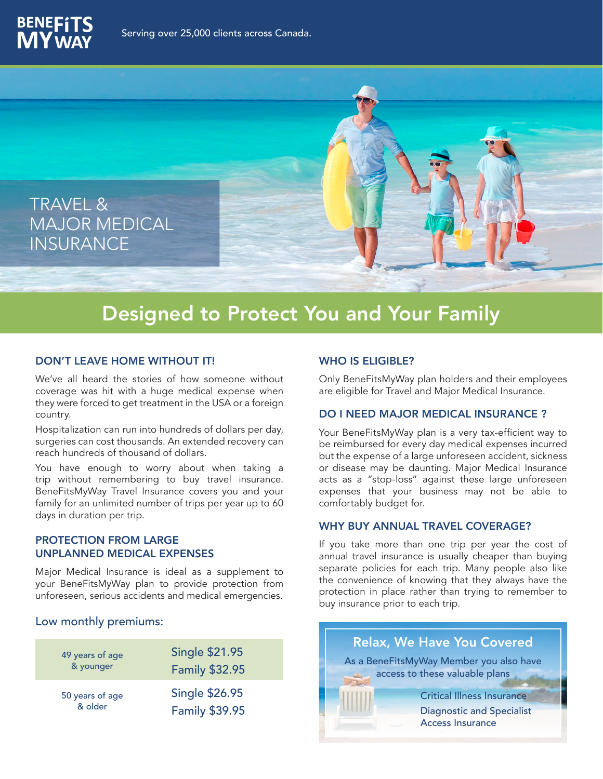



# Designed to Protect You and Your Family

### DON'T LEAVE HOME WITHOUT IT!

We've all heard the stories of how someone without coverage was hit with a huge medical expense when they were forced to get treatment in the USA or a foreign country.

Hospitalization can run into hundreds of dollars per day, surgeries can cost thousands. An extended recovery can reach hundreds of thousand of dollars.

You have enough to worry about when taking a trip without remembering to buy travel insurance. BeneFitsMyWay Travel Insurance covers you and your family for an unlimited number of trips per year up to 60 days in duration per trip.

## PROTECTION FROM LARGE UNPLANNED MEDICAL EXPENSES

Major Medical Insurance is ideal as a supplement to your BeneFitsMyWay plan to provide protection from unforeseen, serious accidents and medical emergencies.

## Low monthly premiums:

| 49 years of age | <b>Single \$21.95</b> |
|-----------------|-----------------------|
| & younger       | <b>Family \$32.95</b> |
| 50 years of age | <b>Single \$26.95</b> |
| & older         | <b>Family \$39.95</b> |

#### WHO IS ELIGIBLE?

Only BeneFitsMyWay plan holders and their employees are eligible for Travel and Major Medical Insurance.

#### DO I NEED MAJOR MEDICAL INSURANCE ?

Your BeneFitsMyWay plan is a very tax-efficient way to be reimbursed for every day medical expenses incurred but the expense of a large unforeseen accident, sickness or disease may be daunting. Major Medical Insurance acts as a "stop-loss" against these large unforeseen expenses that your business may not be able to comfortably budget for.

## WHY BUY ANNUAL TRAVEL COVERAGE?

If you take more than one trip per year the cost of annual travel insurance is usually cheaper than buying separate policies for each trip. Many people also like the convenience of knowing that they always have the protection in place rather than trying to remember to buy insurance prior to each trip.